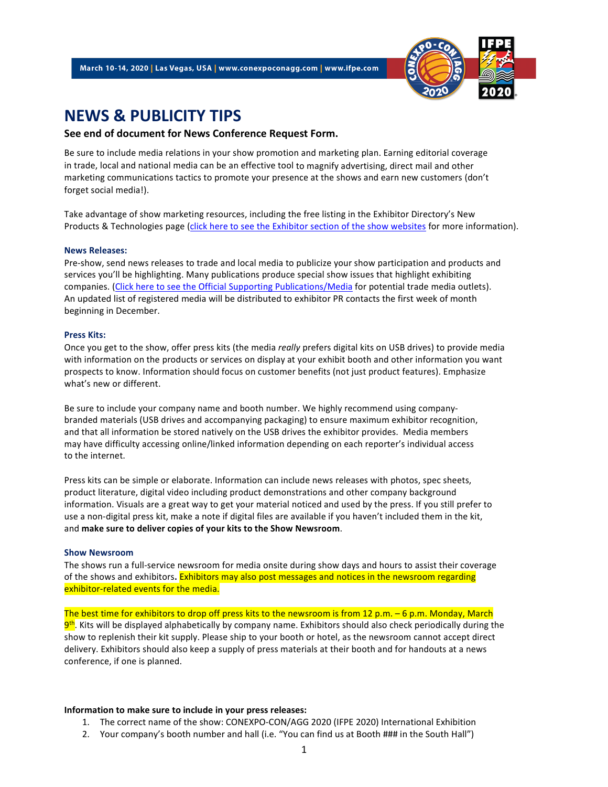

# NEWS & PUBLICITY TIPS

#### See end of document for News Conference Request Form.

Be sure to include media relations in your show promotion and marketing plan. Earning editorial coverage in trade, local and national media can be an effective tool to magnify advertising, direct mail and other marketing communications tactics to promote your presence at the shows and earn new customers (don't forget social media!).

Take advantage of show marketing resources, including the free listing in the Exhibitor Directory's New Products & Technologies page (click here to see the Exhibitor section of the show websites for more information).

#### News Releases:

Pre-show, send news releases to trade and local media to publicize your show participation and products and services you'll be highlighting. Many publications produce special show issues that highlight exhibiting companies. (Click here to see the Official Supporting Publications/Media for potential trade media outlets). An updated list of registered media will be distributed to exhibitor PR contacts the first week of month beginning in December.

#### Press Kits:

Once you get to the show, offer press kits (the media *really* prefers digital kits on USB drives) to provide media with information on the products or services on display at your exhibit booth and other information you want prospects to know. Information should focus on customer benefits (not just product features). Emphasize what's new or different.

Be sure to include your company name and booth number. We highly recommend using companybranded materials (USB drives and accompanying packaging) to ensure maximum exhibitor recognition, and that all information be stored natively on the USB drives the exhibitor provides. Media members may have difficulty accessing online/linked information depending on each reporter's individual access to the internet.

Press kits can be simple or elaborate. Information can include news releases with photos, spec sheets, product literature, digital video including product demonstrations and other company background information. Visuals are a great way to get your material noticed and used by the press. If you still prefer to use a non-digital press kit, make a note if digital files are available if you haven't included them in the kit, and make sure to deliver copies of your kits to the Show Newsroom.

#### Show Newsroom

The shows run a full-service newsroom for media onsite during show days and hours to assist their coverage of the shows and exhibitors. Exhibitors may also post messages and notices in the newsroom regarding exhibitor-related events for the media.

The best time for exhibitors to drop off press kits to the newsroom is from 12 p.m. – 6 p.m. Monday, March <mark>9th</mark>. Kits will be displayed alphabetically by company name. Exhibitors should also check periodically during the show to replenish their kit supply. Please ship to your booth or hotel, as the newsroom cannot accept direct delivery. Exhibitors should also keep a supply of press materials at their booth and for handouts at a news conference, if one is planned.

### Information to make sure to include in your press releases:

- 1. The correct name of the show: CONEXPO-CON/AGG 2020 (IFPE 2020) International Exhibition
- 2. Your company's booth number and hall (i.e. "You can find us at Booth ### in the South Hall")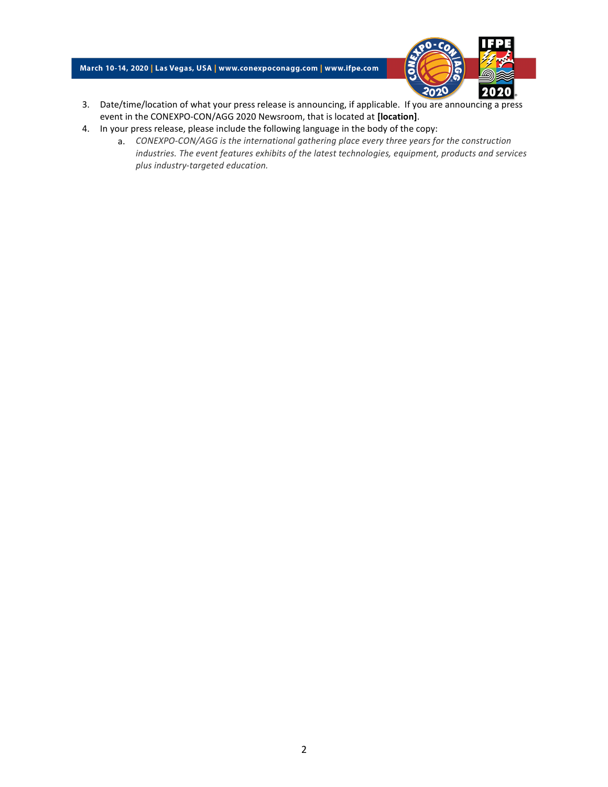## March 10-14, 2020 | Las Vegas, USA | www.conexpoconagg.com | www.ifpe.com



- 3. Date/time/location of what your press release is announcing, if applicable. If you are announcing a press event in the CONEXPO-CON/AGG 2020 Newsroom, that is located at [location].
- 4. In your press release, please include the following language in the body of the copy:
	- a. CONEXPO-CON/AGG is the international gathering place every three years for the construction industries. The event features exhibits of the latest technologies, equipment, products and services plus industry-targeted education.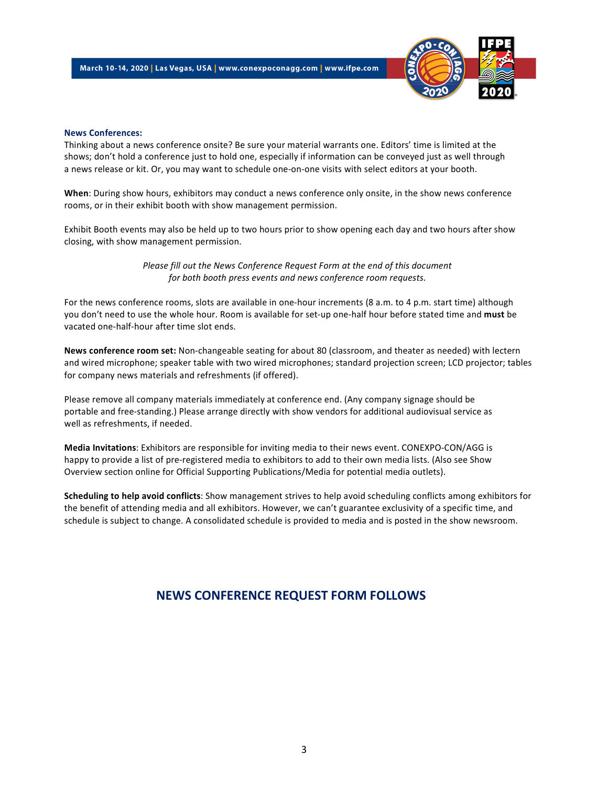

#### News Conferences:

Thinking about a news conference onsite? Be sure your material warrants one. Editors' time is limited at the shows; don't hold a conference just to hold one, especially if information can be conveyed just as well through a news release or kit. Or, you may want to schedule one-on-one visits with select editors at your booth.

When: During show hours, exhibitors may conduct a news conference only onsite, in the show news conference rooms, or in their exhibit booth with show management permission.

Exhibit Booth events may also be held up to two hours prior to show opening each day and two hours after show closing, with show management permission.

> Please fill out the News Conference Request Form at the end of this document for both booth press events and news conference room requests.

For the news conference rooms, slots are available in one-hour increments (8 a.m. to 4 p.m. start time) although you don't need to use the whole hour. Room is available for set-up one-half hour before stated time and must be vacated one-half-hour after time slot ends.

News conference room set: Non-changeable seating for about 80 (classroom, and theater as needed) with lectern and wired microphone; speaker table with two wired microphones; standard projection screen; LCD projector; tables for company news materials and refreshments (if offered).

Please remove all company materials immediately at conference end. (Any company signage should be portable and free-standing.) Please arrange directly with show vendors foradditional audiovisual service as well as refreshments, if needed.

Media Invitations: Exhibitors are responsible for inviting media to their news event. CONEXPO-CON/AGG is happy to provide a list of pre-registered media to exhibitors to add to their own media lists. (Also see Show Overview section online for Official Supporting Publications/Media for potential media outlets).

Scheduling to help avoid conflicts: Show management strives to help avoid scheduling conflicts among exhibitors for the benefit of attending media and all exhibitors. However, we can't guarantee exclusivity of a specific time, and schedule is subject to change. A consolidated schedule is provided to media and is posted in the show newsroom.

# NEWS CONFERENCE REQUEST FORM FOLLOWS